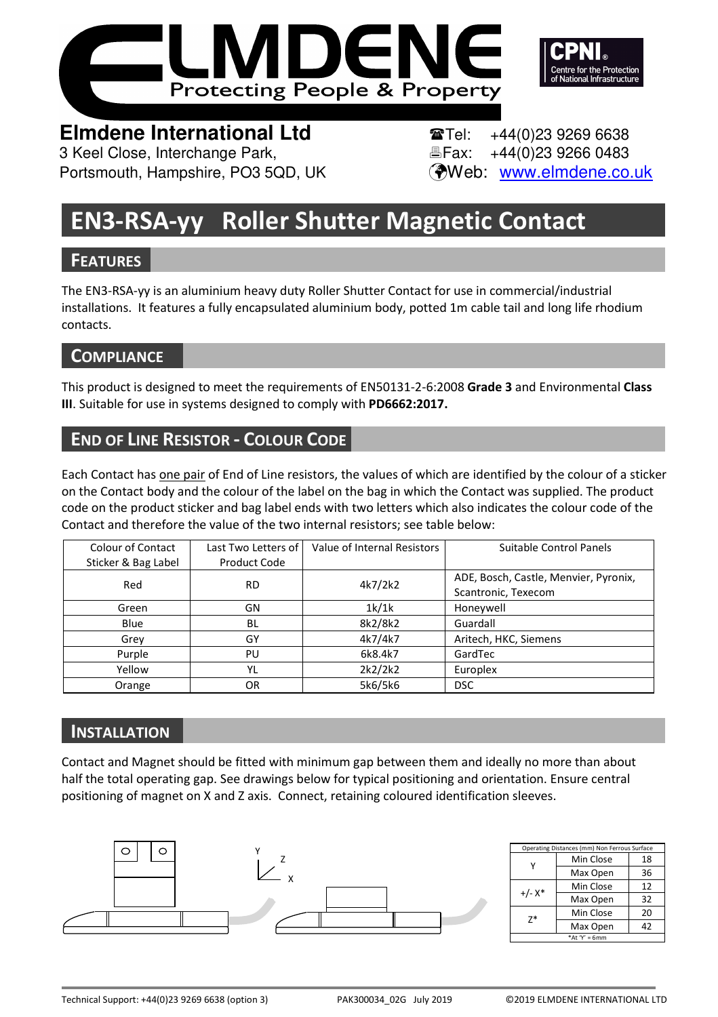



# **Elmdene International Ltd Tel:** +44(0)23 9269 6638

3 Keel Close, Interchange Park, Fax: +44(0)23 9266 0483 Portsmouth, Hampshire, PO3 5QD, UK (Web: www.elmdene.co.uk

# **EN3-RSA-yy Roller Shutter Magnetic Contact**

# **FEATURES**

The EN3-RSA-yy is an aluminium heavy duty Roller Shutter Contact for use in commercial/industrial installations. It features a fully encapsulated aluminium body, potted 1m cable tail and long life rhodium contacts.

# **COMPLIANCE**

This product is designed to meet the requirements of EN50131-2-6:2008 **Grade 3** and Environmental **Class III**. Suitable for use in systems designed to comply with **PD6662:2017.** 

# **END OF LINE RESISTOR - COLOUR CODE**

Each Contact has one pair of End of Line resistors, the values of which are identified by the colour of a sticker on the Contact body and the colour of the label on the bag in which the Contact was supplied. The product code on the product sticker and bag label ends with two letters which also indicates the colour code of the Contact and therefore the value of the two internal resistors; see table below:

| <b>Colour of Contact</b> | Last Two Letters of | Value of Internal Resistors | Suitable Control Panels               |  |
|--------------------------|---------------------|-----------------------------|---------------------------------------|--|
| Sticker & Bag Label      | Product Code        |                             |                                       |  |
| Red                      | <b>RD</b>           | 4k7/2k2                     | ADE, Bosch, Castle, Menvier, Pyronix, |  |
|                          |                     |                             | Scantronic, Texecom                   |  |
| Green                    | GN                  | 1k/1k                       | Honeywell                             |  |
| Blue                     | BL                  | 8k2/8k2                     | Guardall                              |  |
| Grey                     | GY                  | 4k7/4k7                     | Aritech, HKC, Siemens                 |  |
| Purple                   | PU                  | 6k8.4k7                     | GardTec                               |  |
| Yellow                   | YL                  | 2k2/2k2                     | Europlex                              |  |
| Orange                   | OR                  | 5k6/5k6                     | <b>DSC</b>                            |  |

# **INSTALLATION**

Contact and Magnet should be fitted with minimum gap between them and ideally no more than about half the total operating gap. See drawings below for typical positioning and orientation. Ensure central positioning of magnet on X and Z axis. Connect, retaining coloured identification sleeves.



| Operating Distances (mm) Non Ferrous Surface |           |    |  |
|----------------------------------------------|-----------|----|--|
|                                              | Min Close | 18 |  |
|                                              | Max Open  | 36 |  |
| $+/- X^*$                                    | Min Close | 12 |  |
|                                              | Max Open  | 32 |  |
| $7*$                                         | Min Close | 20 |  |
|                                              | Max Open  | 42 |  |
| *At $Y' = 6$ mm                              |           |    |  |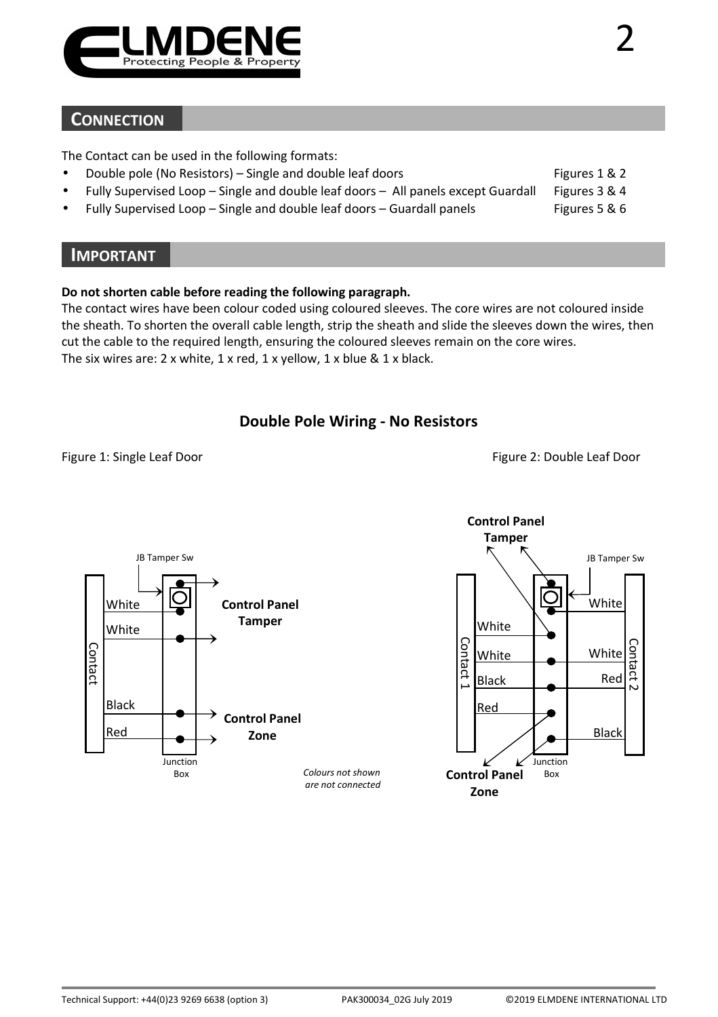

### **CONNECTION**

The Contact can be used in the following formats:

- Double pole (No Resistors) Single and double leaf doors Figures 1 & 2
- Fully Supervised Loop Single and double leaf doors All panels except Guardall Figures 3 & 4
- Fully Supervised Loop Single and double leaf doors Guardall panels Fully Supervised Loop Single

#### **IMPORTANT**

#### **Do not shorten cable before reading the following paragraph.**

The contact wires have been colour coded using coloured sleeves. The core wires are not coloured inside the sheath. To shorten the overall cable length, strip the sheath and slide the sleeves down the wires, then cut the cable to the required length, ensuring the coloured sleeves remain on the core wires. The six wires are: 2 x white, 1 x red, 1 x yellow, 1 x blue & 1 x black.

#### **Double Pole Wiring - No Resistors**

Figure 1: Single Leaf Door Figure 2: Double Leaf Door



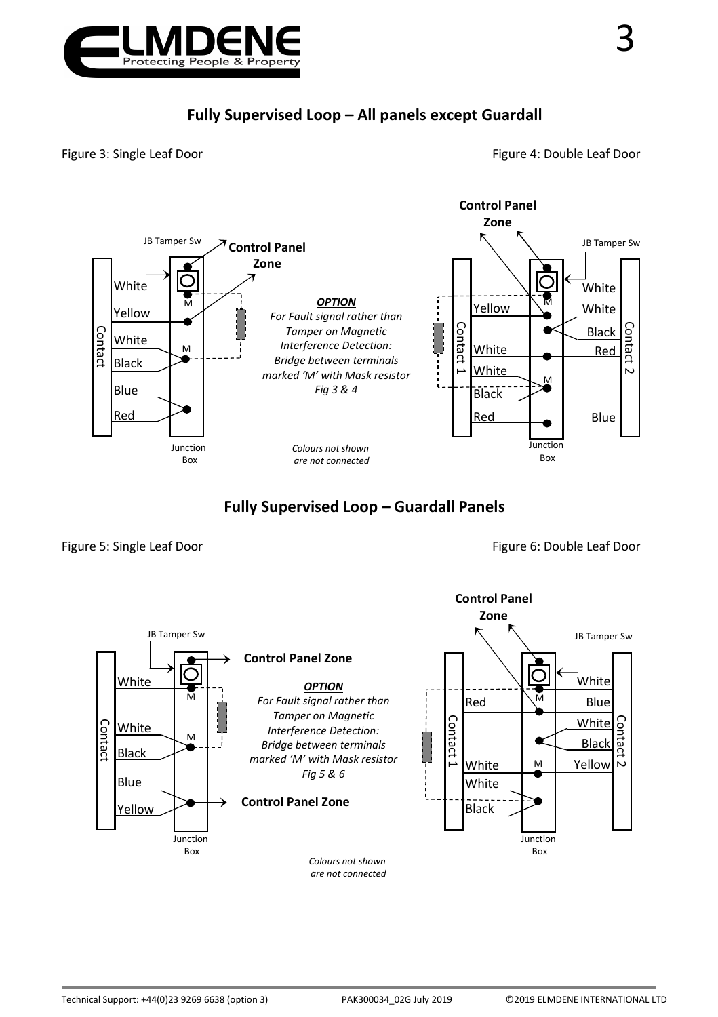

# **Fully Supervised Loop – All panels except Guardall**

Figure 3: Single Leaf Door **Figure 4: Double Leaf Door** Figure 4: Double Leaf Door



# **Fully Supervised Loop – Guardall Panels**

Figure 5: Single Leaf Door **Figure 6: Double Leaf Door** Figure 6: Double Leaf Door